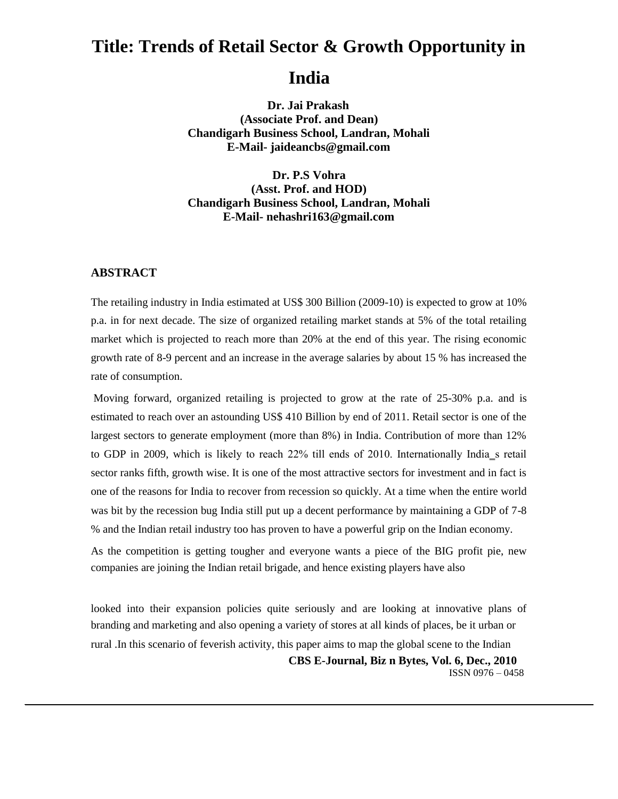# **Title: Trends of Retail Sector & Growth Opportunity in**

# **India**

**Dr. Jai Prakash (Associate Prof. and Dean) Chandigarh Business School, Landran, Mohali E-Mail- jaideancbs@gmail.com**

**Dr. P.S Vohra (Asst. Prof. and HOD) Chandigarh Business School, Landran, Mohali E-Mail- nehashri163@gmail.com**

#### **ABSTRACT**

The retailing industry in India estimated at US\$ 300 Billion (2009-10) is expected to grow at 10% p.a. in for next decade. The size of organized retailing market stands at 5% of the total retailing market which is projected to reach more than 20% at the end of this year. The rising economic growth rate of 8-9 percent and an increase in the average salaries by about 15 % has increased the rate of consumption.

Moving forward, organized retailing is projected to grow at the rate of 25-30% p.a. and is estimated to reach over an astounding US\$ 410 Billion by end of 2011. Retail sector is one of the largest sectors to generate employment (more than 8%) in India. Contribution of more than 12% to GDP in 2009, which is likely to reach 22% till ends of 2010. Internationally India s retail sector ranks fifth, growth wise. It is one of the most attractive sectors for investment and in fact is one of the reasons for India to recover from recession so quickly. At a time when the entire world was bit by the recession bug India still put up a decent performance by maintaining a GDP of 7-8 % and the Indian retail industry too has proven to have a powerful grip on the Indian economy.

As the competition is getting tougher and everyone wants a piece of the BIG profit pie, new companies are joining the Indian retail brigade, and hence existing players have also

looked into their expansion policies quite seriously and are looking at innovative plans of branding and marketing and also opening a variety of stores at all kinds of places, be it urban or rural .In this scenario of feverish activity, this paper aims to map the global scene to the Indian **CBS E-Journal, Biz n Bytes, Vol. 6, Dec., 2010** ISSN 0976 – 0458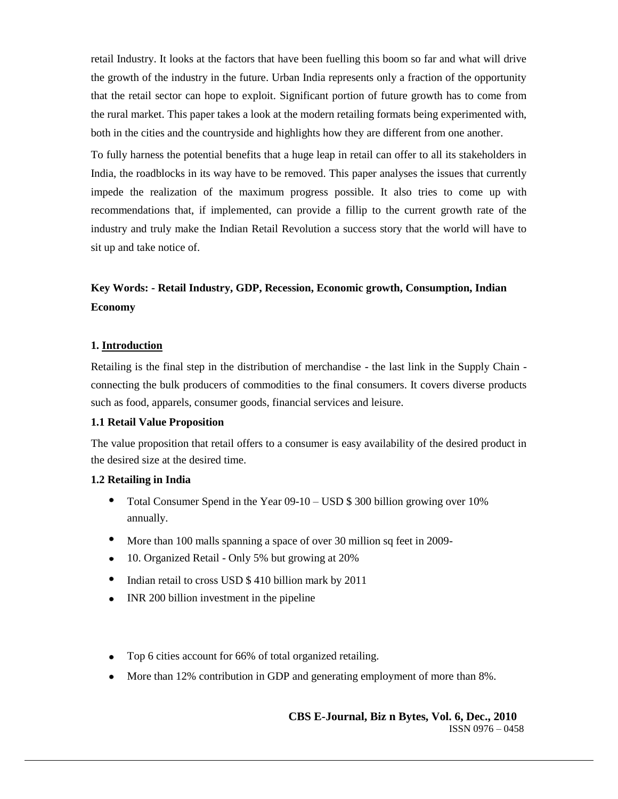retail Industry. It looks at the factors that have been fuelling this boom so far and what will drive the growth of the industry in the future. Urban India represents only a fraction of the opportunity that the retail sector can hope to exploit. Significant portion of future growth has to come from the rural market. This paper takes a look at the modern retailing formats being experimented with, both in the cities and the countryside and highlights how they are different from one another.

To fully harness the potential benefits that a huge leap in retail can offer to all its stakeholders in India, the roadblocks in its way have to be removed. This paper analyses the issues that currently impede the realization of the maximum progress possible. It also tries to come up with recommendations that, if implemented, can provide a fillip to the current growth rate of the industry and truly make the Indian Retail Revolution a success story that the world will have to sit up and take notice of.

# **Key Words: - Retail Industry, GDP, Recession, Economic growth, Consumption, Indian Economy**

#### **1. Introduction**

Retailing is the final step in the distribution of merchandise - the last link in the Supply Chain connecting the bulk producers of commodities to the final consumers. It covers diverse products such as food, apparels, consumer goods, financial services and leisure.

#### **1.1 Retail Value Proposition**

The value proposition that retail offers to a consumer is easy availability of the desired product in the desired size at the desired time.

## **1.2 Retailing in India**

- Total Consumer Spend in the Year 09-10 USD \$ 300 billion growing over 10% annually.
- More than 100 malls spanning a space of over 30 million sq feet in 2009-
- 10. Organized Retail Only 5% but growing at 20%
- Indian retail to cross USD \$ 410 billion mark by 2011
- INR 200 billion investment in the pipeline
- Top 6 cities account for 66% of total organized retailing.
- More than 12% contribution in GDP and generating employment of more than 8%.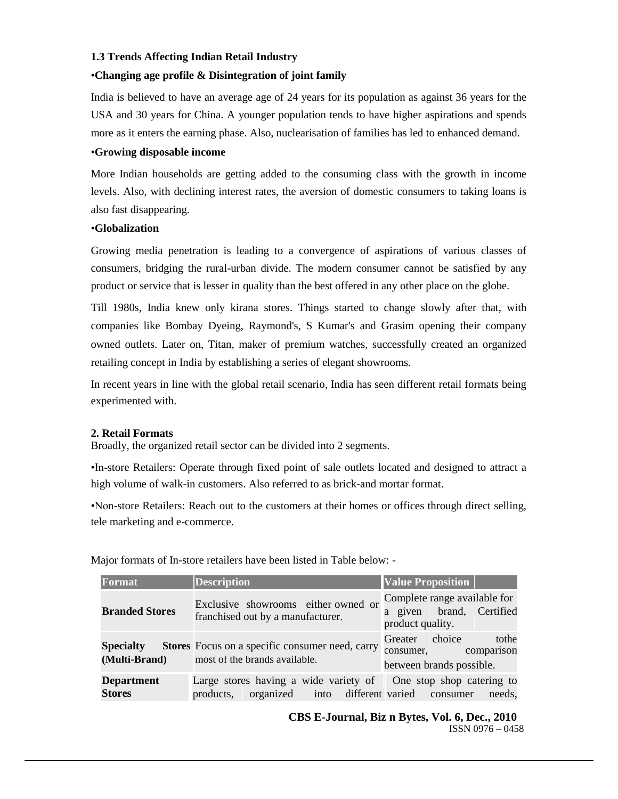#### **1.3 Trends Affecting Indian Retail Industry**

#### •**Changing age profile & Disintegration of joint family**

India is believed to have an average age of 24 years for its population as against 36 years for the USA and 30 years for China. A younger population tends to have higher aspirations and spends more as it enters the earning phase. Also, nuclearisation of families has led to enhanced demand.

#### •**Growing disposable income**

More Indian households are getting added to the consuming class with the growth in income levels. Also, with declining interest rates, the aversion of domestic consumers to taking loans is also fast disappearing.

#### •**Globalization**

Growing media penetration is leading to a convergence of aspirations of various classes of consumers, bridging the rural-urban divide. The modern consumer cannot be satisfied by any product or service that is lesser in quality than the best offered in any other place on the globe.

Till 1980s, India knew only kirana stores. Things started to change slowly after that, with companies like Bombay Dyeing, Raymond's, S Kumar's and Grasim opening their company owned outlets. Later on, Titan, maker of premium watches, successfully created an organized retailing concept in India by establishing a series of elegant showrooms.

In recent years in line with the global retail scenario, India has seen different retail formats being experimented with.

#### **2. Retail Formats**

Broadly, the organized retail sector can be divided into 2 segments.

•In-store Retailers: Operate through fixed point of sale outlets located and designed to attract a high volume of walk-in customers. Also referred to as brick-and mortar format.

•Non-store Retailers: Reach out to the customers at their homes or offices through direct selling, tele marketing and e-commerce.

| Format                             | <b>Description</b>                                                                                                    | <b>Value Proposition</b>                                                     |
|------------------------------------|-----------------------------------------------------------------------------------------------------------------------|------------------------------------------------------------------------------|
| <b>Branded Stores</b>              | Exclusive showrooms either owned or<br>franchised out by a manufacturer.                                              | Complete range available for<br>a given brand, Certified<br>product quality. |
| <b>Specialty</b><br>(Multi-Brand)  | <b>Stores</b> Focus on a specific consumer need, carry<br>most of the brands available.                               | Greater choice<br>tothe<br>consumer, comparison<br>between brands possible.  |
| <b>Department</b><br><b>Stores</b> | Large stores having a wide variety of One stop shop catering to<br>products, organized into different varied consumer | needs.                                                                       |

Major formats of In-store retailers have been listed in Table below: -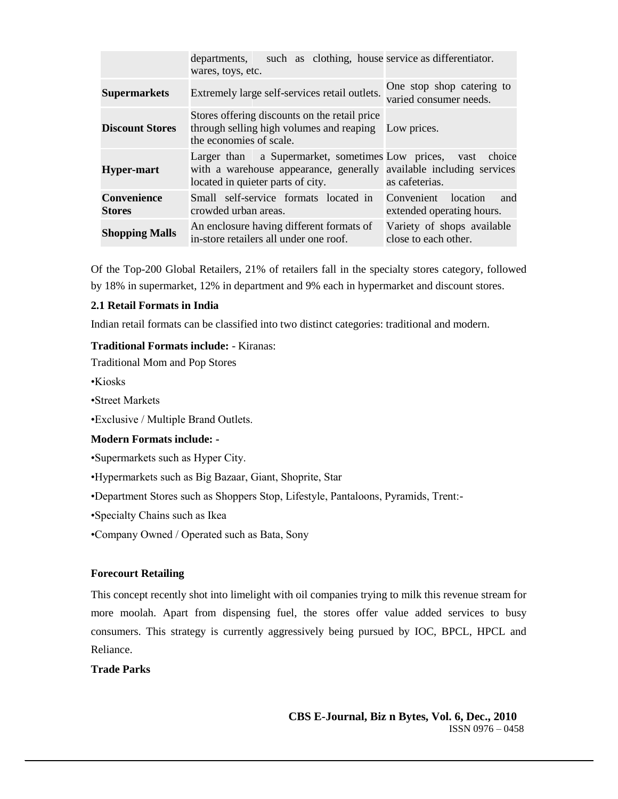|                                     | such as clothing, house service as differentiator.<br>departments,<br>wares, toys, etc.                                                                      |                                                            |
|-------------------------------------|--------------------------------------------------------------------------------------------------------------------------------------------------------------|------------------------------------------------------------|
| <b>Supermarkets</b>                 | Extremely large self-services retail outlets.                                                                                                                | One stop shop catering to<br>varied consumer needs.        |
| <b>Discount Stores</b>              | Stores offering discounts on the retail price<br>through selling high volumes and reaping Low prices.<br>the economies of scale.                             |                                                            |
| <b>Hyper-mart</b>                   | Larger than a Supermarket, sometimes Low prices,<br>with a warehouse appearance, generally available including services<br>located in quieter parts of city. | choice<br>vast<br>as cafeterias.                           |
| <b>Convenience</b><br><b>Stores</b> | Small self-service formats located in<br>crowded urban areas.                                                                                                | Convenient<br>location<br>and<br>extended operating hours. |
| <b>Shopping Malls</b>               | An enclosure having different formats of<br>in-store retailers all under one roof.                                                                           | Variety of shops available<br>close to each other.         |

Of the Top-200 Global Retailers, 21% of retailers fall in the specialty stores category, followed by 18% in supermarket, 12% in department and 9% each in hypermarket and discount stores.

#### **2.1 Retail Formats in India**

Indian retail formats can be classified into two distinct categories: traditional and modern.

#### **Traditional Formats include:** - Kiranas:

Traditional Mom and Pop Stores

•Kiosks

•Street Markets

•Exclusive / Multiple Brand Outlets.

#### **Modern Formats include: -**

•Supermarkets such as Hyper City.

•Hypermarkets such as Big Bazaar, Giant, Shoprite, Star

•Department Stores such as Shoppers Stop, Lifestyle, Pantaloons, Pyramids, Trent:-

•Specialty Chains such as Ikea

•Company Owned / Operated such as Bata, Sony

#### **Forecourt Retailing**

This concept recently shot into limelight with oil companies trying to milk this revenue stream for more moolah. Apart from dispensing fuel, the stores offer value added services to busy consumers. This strategy is currently aggressively being pursued by IOC, BPCL, HPCL and Reliance.

#### **Trade Parks**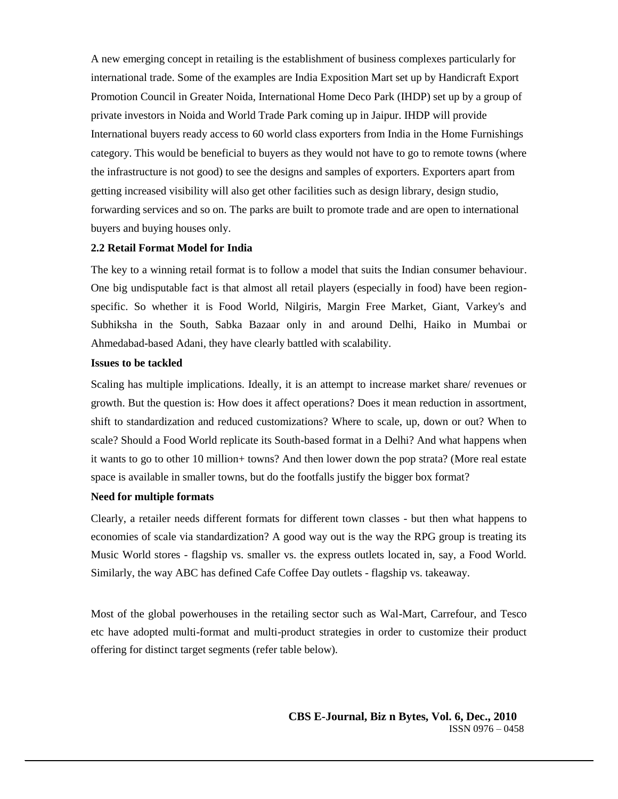A new emerging concept in retailing is the establishment of business complexes particularly for international trade. Some of the examples are India Exposition Mart set up by Handicraft Export Promotion Council in Greater Noida, International Home Deco Park (IHDP) set up by a group of private investors in Noida and World Trade Park coming up in Jaipur. IHDP will provide International buyers ready access to 60 world class exporters from India in the Home Furnishings category. This would be beneficial to buyers as they would not have to go to remote towns (where the infrastructure is not good) to see the designs and samples of exporters. Exporters apart from getting increased visibility will also get other facilities such as design library, design studio, forwarding services and so on. The parks are built to promote trade and are open to international buyers and buying houses only.

#### **2.2 Retail Format Model for India**

The key to a winning retail format is to follow a model that suits the Indian consumer behaviour. One big undisputable fact is that almost all retail players (especially in food) have been regionspecific. So whether it is Food World, Nilgiris, Margin Free Market, Giant, Varkey's and Subhiksha in the South, Sabka Bazaar only in and around Delhi, Haiko in Mumbai or Ahmedabad-based Adani, they have clearly battled with scalability.

#### **Issues to be tackled**

Scaling has multiple implications. Ideally, it is an attempt to increase market share/ revenues or growth. But the question is: How does it affect operations? Does it mean reduction in assortment, shift to standardization and reduced customizations? Where to scale, up, down or out? When to scale? Should a Food World replicate its South-based format in a Delhi? And what happens when it wants to go to other 10 million+ towns? And then lower down the pop strata? (More real estate space is available in smaller towns, but do the footfalls justify the bigger box format?

#### **Need for multiple formats**

Clearly, a retailer needs different formats for different town classes - but then what happens to economies of scale via standardization? A good way out is the way the RPG group is treating its Music World stores - flagship vs. smaller vs. the express outlets located in, say, a Food World. Similarly, the way ABC has defined Cafe Coffee Day outlets - flagship vs. takeaway.

Most of the global powerhouses in the retailing sector such as Wal-Mart, Carrefour, and Tesco etc have adopted multi-format and multi-product strategies in order to customize their product offering for distinct target segments (refer table below).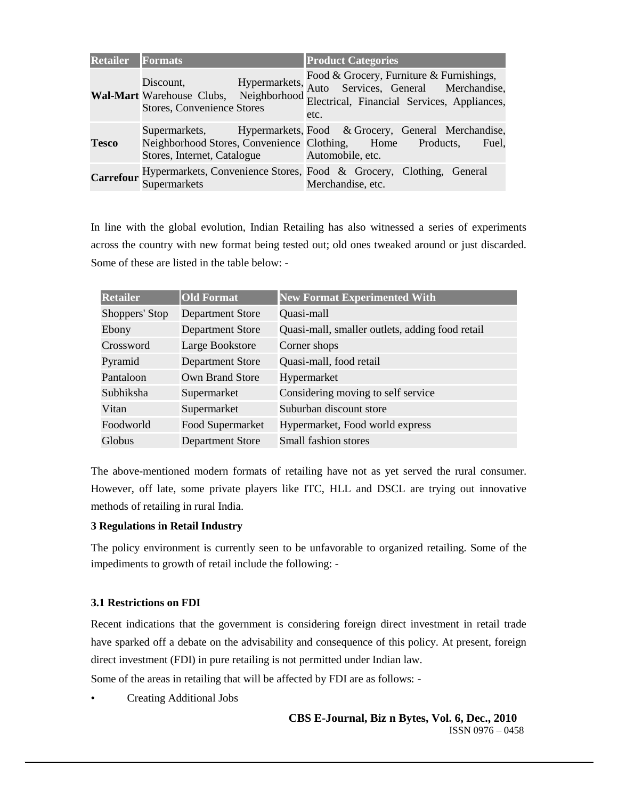| <b>Retailer</b>  | <b>Formats</b>                                                                                            | <b>Product Categories</b>                                                                                                                                                     |
|------------------|-----------------------------------------------------------------------------------------------------------|-------------------------------------------------------------------------------------------------------------------------------------------------------------------------------|
|                  | Hypermarkets,<br>Discount,<br><b>Stores, Convenience Stores</b>                                           | Food & Grocery, Furniture & Furnishings,<br>Auto Services, General Merchandise,<br>Wal-Mart Warehouse Clubs, Neighborhood Electrical, Financial Services, Appliances,<br>etc. |
| <b>Tesco</b>     | Neighborhood Stores, Convenience Clothing, Home Products,<br>Stores, Internet, Catalogue Automobile, etc. | Supermarkets, Hypermarkets, Food & Grocery, General Merchandise,<br>Fuel.                                                                                                     |
| <b>Carrefour</b> | Supermarkets                                                                                              | Hypermarkets, Convenience Stores, Food & Grocery, Clothing, General<br>Merchandise, etc.                                                                                      |

In line with the global evolution, Indian Retailing has also witnessed a series of experiments across the country with new format being tested out; old ones tweaked around or just discarded. Some of these are listed in the table below: -

| <b>Retailer</b> | <b>Old Format</b>       | <b>New Format Experimented With</b>             |
|-----------------|-------------------------|-------------------------------------------------|
| Shoppers' Stop  | <b>Department Store</b> | Quasi-mall                                      |
| Ebony           | <b>Department Store</b> | Quasi-mall, smaller outlets, adding food retail |
| Crossword       | Large Bookstore         | Corner shops                                    |
| Pyramid         | <b>Department Store</b> | Quasi-mall, food retail                         |
| Pantaloon       | Own Brand Store         | Hypermarket                                     |
| Subhiksha       | Supermarket             | Considering moving to self service              |
| Vitan           | Supermarket             | Suburban discount store                         |
| Foodworld       | Food Supermarket        | Hypermarket, Food world express                 |
| Globus          | <b>Department Store</b> | Small fashion stores                            |

The above-mentioned modern formats of retailing have not as yet served the rural consumer. However, off late, some private players like ITC, HLL and DSCL are trying out innovative methods of retailing in rural India.

#### **3 Regulations in Retail Industry**

The policy environment is currently seen to be unfavorable to organized retailing. Some of the impediments to growth of retail include the following: -

#### **3.1 Restrictions on FDI**

Recent indications that the government is considering foreign direct investment in retail trade have sparked off a debate on the advisability and consequence of this policy. At present, foreign direct investment (FDI) in pure retailing is not permitted under Indian law.

Some of the areas in retailing that will be affected by FDI are as follows: -

• Creating Additional Jobs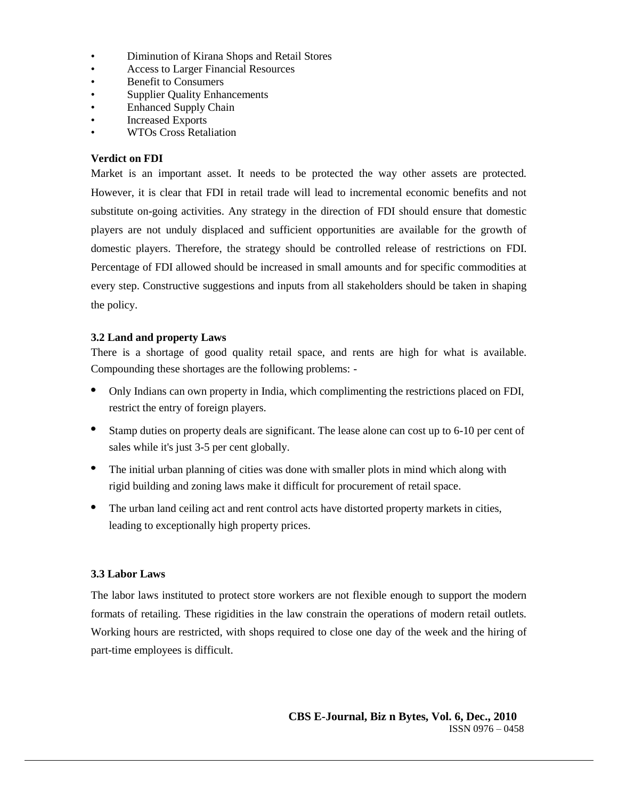- Diminution of Kirana Shops and Retail Stores
- Access to Larger Financial Resources
- Benefit to Consumers
- Supplier Quality Enhancements
- Enhanced Supply Chain
- Increased Exports
- WTOs Cross Retaliation

#### **Verdict on FDI**

Market is an important asset. It needs to be protected the way other assets are protected. However, it is clear that FDI in retail trade will lead to incremental economic benefits and not substitute on-going activities. Any strategy in the direction of FDI should ensure that domestic players are not unduly displaced and sufficient opportunities are available for the growth of domestic players. Therefore, the strategy should be controlled release of restrictions on FDI. Percentage of FDI allowed should be increased in small amounts and for specific commodities at every step. Constructive suggestions and inputs from all stakeholders should be taken in shaping the policy.

#### **3.2 Land and property Laws**

There is a shortage of good quality retail space, and rents are high for what is available. Compounding these shortages are the following problems: -

- Only Indians can own property in India, which complimenting the restrictions placed on FDI, restrict the entry of foreign players.
- Stamp duties on property deals are significant. The lease alone can cost up to 6-10 per cent of sales while it's just 3-5 per cent globally.
- The initial urban planning of cities was done with smaller plots in mind which along with rigid building and zoning laws make it difficult for procurement of retail space.
- $\bullet$ The urban land ceiling act and rent control acts have distorted property markets in cities, leading to exceptionally high property prices.

#### **3.3 Labor Laws**

The labor laws instituted to protect store workers are not flexible enough to support the modern formats of retailing. These rigidities in the law constrain the operations of modern retail outlets. Working hours are restricted, with shops required to close one day of the week and the hiring of part-time employees is difficult.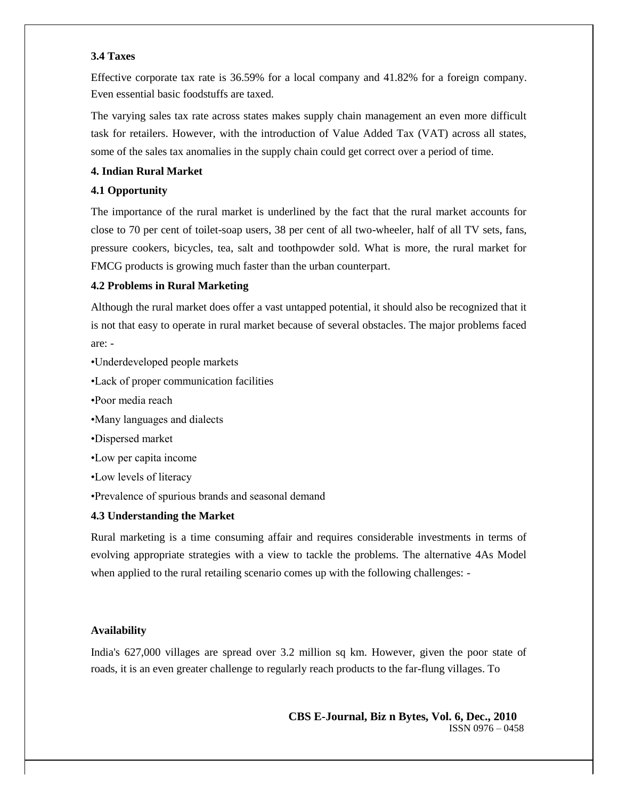#### **3.4 Taxes**

Effective corporate tax rate is 36.59% for a local company and 41.82% for a foreign company. Even essential basic foodstuffs are taxed.

The varying sales tax rate across states makes supply chain management an even more difficult task for retailers. However, with the introduction of Value Added Tax (VAT) across all states, some of the sales tax anomalies in the supply chain could get correct over a period of time.

#### **4. Indian Rural Market**

#### **4.1 Opportunity**

The importance of the rural market is underlined by the fact that the rural market accounts for close to 70 per cent of toilet-soap users, 38 per cent of all two-wheeler, half of all TV sets, fans, pressure cookers, bicycles, tea, salt and toothpowder sold. What is more, the rural market for FMCG products is growing much faster than the urban counterpart.

#### **4.2 Problems in Rural Marketing**

Although the rural market does offer a vast untapped potential, it should also be recognized that it is not that easy to operate in rural market because of several obstacles. The major problems faced are: -

- •Underdeveloped people markets
- •Lack of proper communication facilities
- •Poor media reach
- •Many languages and dialects
- •Dispersed market
- •Low per capita income
- •Low levels of literacy
- •Prevalence of spurious brands and seasonal demand

#### **4.3 Understanding the Market**

Rural marketing is a time consuming affair and requires considerable investments in terms of evolving appropriate strategies with a view to tackle the problems. The alternative 4As Model when applied to the rural retailing scenario comes up with the following challenges: -

#### **Availability**

India's 627,000 villages are spread over 3.2 million sq km. However, given the poor state of roads, it is an even greater challenge to regularly reach products to the far-flung villages. To

**CBS E-Journal, Biz n Bytes, Vol. 6, Dec., 2010** ISSN 0976 – 0458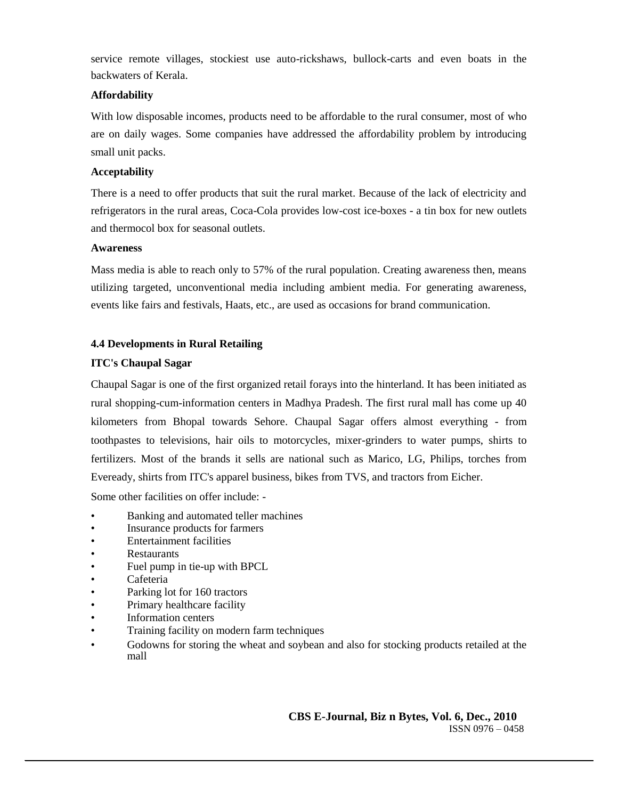service remote villages, stockiest use auto-rickshaws, bullock-carts and even boats in the backwaters of Kerala.

# **Affordability**

With low disposable incomes, products need to be affordable to the rural consumer, most of who are on daily wages. Some companies have addressed the affordability problem by introducing small unit packs.

# **Acceptability**

There is a need to offer products that suit the rural market. Because of the lack of electricity and refrigerators in the rural areas, Coca-Cola provides low-cost ice-boxes - a tin box for new outlets and thermocol box for seasonal outlets.

## **Awareness**

Mass media is able to reach only to 57% of the rural population. Creating awareness then, means utilizing targeted, unconventional media including ambient media. For generating awareness, events like fairs and festivals, Haats, etc., are used as occasions for brand communication.

# **4.4 Developments in Rural Retailing**

# **ITC's Chaupal Sagar**

Chaupal Sagar is one of the first organized retail forays into the hinterland. It has been initiated as rural shopping-cum-information centers in Madhya Pradesh. The first rural mall has come up 40 kilometers from Bhopal towards Sehore. Chaupal Sagar offers almost everything - from toothpastes to televisions, hair oils to motorcycles, mixer-grinders to water pumps, shirts to fertilizers. Most of the brands it sells are national such as Marico, LG, Philips, torches from Eveready, shirts from ITC's apparel business, bikes from TVS, and tractors from Eicher.

Some other facilities on offer include: -

- Banking and automated teller machines
- Insurance products for farmers
- Entertainment facilities
- **Restaurants**
- Fuel pump in tie-up with BPCL
- Cafeteria
- Parking lot for 160 tractors
- Primary healthcare facility
- Information centers
- Training facility on modern farm techniques
- Godowns for storing the wheat and soybean and also for stocking products retailed at the mall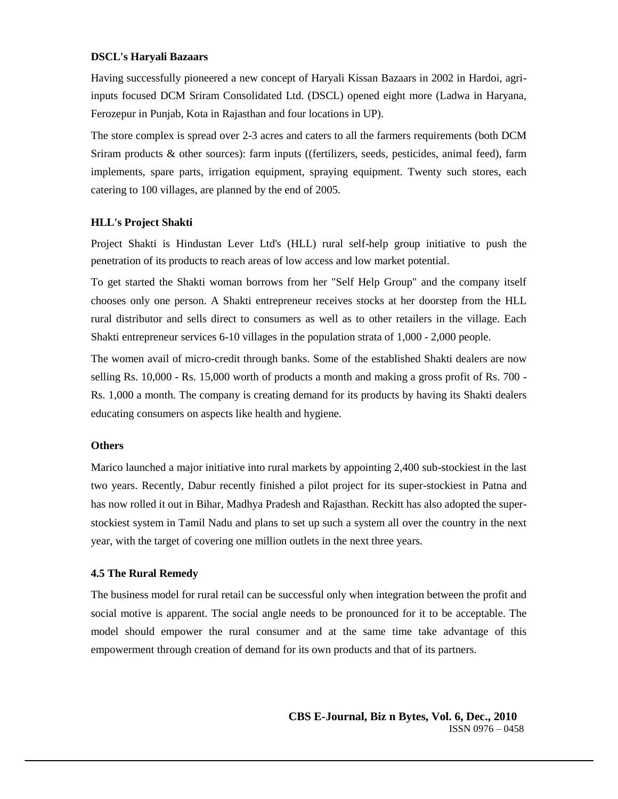#### **DSCL's Haryali Bazaars**

Having successfully pioneered a new concept of Haryali Kissan Bazaars in 2002 in Hardoi, agriinputs focused DCM Sriram Consolidated Ltd. (DSCL) opened eight more (Ladwa in Haryana, Ferozepur in Punjab, Kota in Rajasthan and four locations in UP).

The store complex is spread over 2-3 acres and caters to all the farmers requirements (both DCM Sriram products & other sources): farm inputs ((fertilizers, seeds, pesticides, animal feed), farm implements, spare parts, irrigation equipment, spraying equipment. Twenty such stores, each catering to 100 villages, are planned by the end of 2005.

#### **HLL's Project Shakti**

Project Shakti is Hindustan Lever Ltd's (HLL) rural self-help group initiative to push the penetration of its products to reach areas of low access and low market potential.

To get started the Shakti woman borrows from her "Self Help Group" and the company itself chooses only one person. A Shakti entrepreneur receives stocks at her doorstep from the HLL rural distributor and sells direct to consumers as well as to other retailers in the village. Each Shakti entrepreneur services 6-10 villages in the population strata of 1,000 - 2,000 people.

The women avail of micro-credit through banks. Some of the established Shakti dealers are now selling Rs. 10,000 - Rs. 15,000 worth of products a month and making a gross profit of Rs. 700 - Rs. 1,000 a month. The company is creating demand for its products by having its Shakti dealers educating consumers on aspects like health and hygiene.

#### **Others**

Marico launched a major initiative into rural markets by appointing 2,400 sub-stockiest in the last two years. Recently, Dabur recently finished a pilot project for its super-stockiest in Patna and has now rolled it out in Bihar, Madhya Pradesh and Rajasthan. Reckitt has also adopted the superstockiest system in Tamil Nadu and plans to set up such a system all over the country in the next year, with the target of covering one million outlets in the next three years.

#### **4.5 The Rural Remedy**

The business model for rural retail can be successful only when integration between the profit and social motive is apparent. The social angle needs to be pronounced for it to be acceptable. The model should empower the rural consumer and at the same time take advantage of this empowerment through creation of demand for its own products and that of its partners.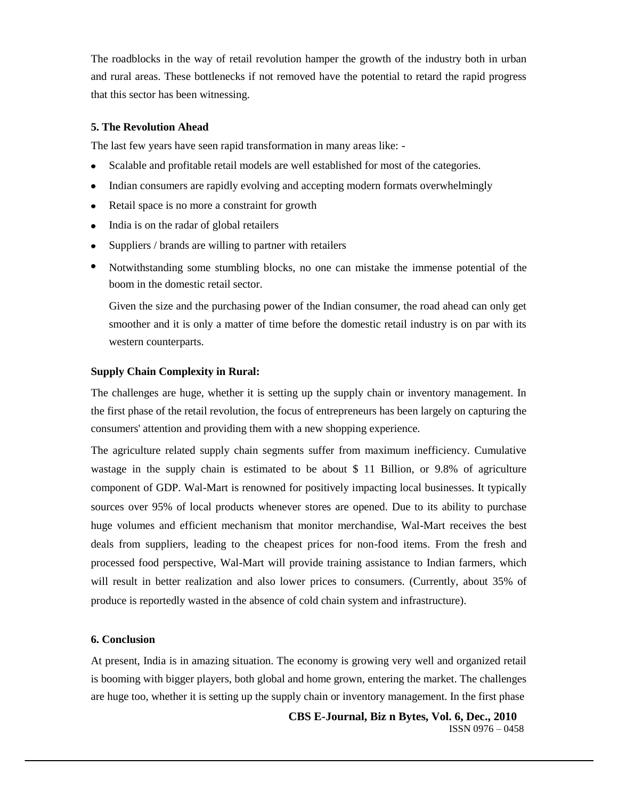The roadblocks in the way of retail revolution hamper the growth of the industry both in urban and rural areas. These bottlenecks if not removed have the potential to retard the rapid progress that this sector has been witnessing.

#### **5. The Revolution Ahead**

The last few years have seen rapid transformation in many areas like: -

- Scalable and profitable retail models are well established for most of the categories.
- Indian consumers are rapidly evolving and accepting modern formats overwhelmingly
- Retail space is no more a constraint for growth
- India is on the radar of global retailers
- Suppliers / brands are willing to partner with retailers  $\bullet$
- Notwithstanding some stumbling blocks, no one can mistake the immense potential of the boom in the domestic retail sector.

Given the size and the purchasing power of the Indian consumer, the road ahead can only get smoother and it is only a matter of time before the domestic retail industry is on par with its western counterparts.

#### **Supply Chain Complexity in Rural:**

The challenges are huge, whether it is setting up the supply chain or inventory management. In the first phase of the retail revolution, the focus of entrepreneurs has been largely on capturing the consumers' attention and providing them with a new shopping experience.

The agriculture related supply chain segments suffer from maximum inefficiency. Cumulative wastage in the supply chain is estimated to be about \$ 11 Billion, or 9.8% of agriculture component of GDP. Wal-Mart is renowned for positively impacting local businesses. It typically sources over 95% of local products whenever stores are opened. Due to its ability to purchase huge volumes and efficient mechanism that monitor merchandise, Wal-Mart receives the best deals from suppliers, leading to the cheapest prices for non-food items. From the fresh and processed food perspective, Wal-Mart will provide training assistance to Indian farmers, which will result in better realization and also lower prices to consumers. (Currently, about 35% of produce is reportedly wasted in the absence of cold chain system and infrastructure).

#### **6. Conclusion**

At present, India is in amazing situation. The economy is growing very well and organized retail is booming with bigger players, both global and home grown, entering the market. The challenges are huge too, whether it is setting up the supply chain or inventory management. In the first phase